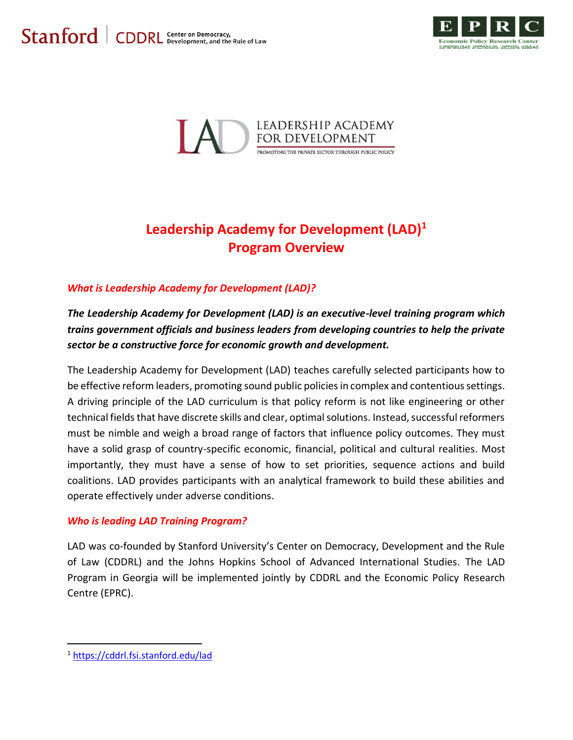



# **Leadership Academy for Development (LAD)<sup>1</sup> Program Overview**

# *What is Leadership Academy for Development (LAD)?*

*The Leadership Academy for Development (LAD) is an executive-level training program which trains government officials and business leaders from developing countries to help the private sector be a constructive force for economic growth and development.*

The Leadership Academy for Development (LAD) teaches carefully selected participants how to be effective reform leaders, promoting sound public policies in complex and contentious settings. A driving principle of the LAD curriculum is that policy reform is not like engineering or other technical fields that have discrete skills and clear, optimal solutions. Instead, successful reformers must be nimble and weigh a broad range of factors that influence policy outcomes. They must have a solid grasp of country-specific economic, financial, political and cultural realities. Most importantly, they must have a sense of how to set priorities, sequence actions and build coalitions. LAD provides participants with an analytical framework to build these abilities and operate effectively under adverse conditions.

#### *Who is leading LAD Training Program?*

LAD was co-founded by Stanford University's Center on Democracy, Development and the Rule of Law (CDDRL) and the Johns Hopkins School of Advanced International Studies. The LAD Program in Georgia will be implemented jointly by CDDRL and the Economic Policy Research Centre (EPRC).

 $\overline{\phantom{a}}$ 

<sup>1</sup> <https://cddrl.fsi.stanford.edu/lad>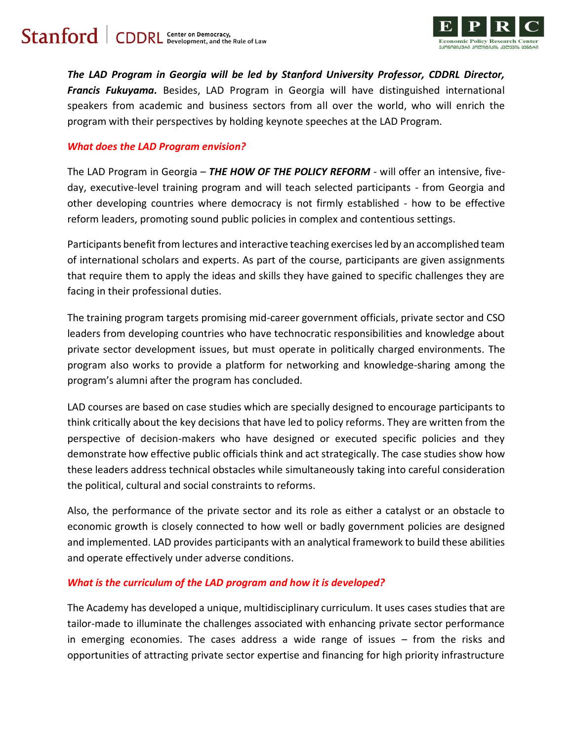

*The LAD Program in Georgia will be led by Stanford University Professor, CDDRL Director, Francis Fukuyama.* Besides, LAD Program in Georgia will have distinguished international speakers from academic and business sectors from all over the world, who will enrich the program with their perspectives by holding keynote speeches at the LAD Program.

### *What does the LAD Program envision?*

The LAD Program in Georgia – *THE HOW OF THE POLICY REFORM* - will offer an intensive, fiveday, executive-level training program and will teach selected participants - from Georgia and other developing countries where democracy is not firmly established - how to be effective reform leaders, promoting sound public policies in complex and contentious settings.

Participants benefit from lectures and interactive teaching exercises led by an accomplished team of international scholars and experts. As part of the course, participants are given assignments that require them to apply the ideas and skills they have gained to specific challenges they are facing in their professional duties.

The training program targets promising mid-career government officials, private sector and CSO leaders from developing countries who have technocratic responsibilities and knowledge about private sector development issues, but must operate in politically charged environments. The program also works to provide a platform for networking and knowledge-sharing among the program's alumni after the program has concluded.

LAD courses are based on case studies which are specially designed to encourage participants to think critically about the key decisions that have led to policy reforms. They are written from the perspective of decision-makers who have designed or executed specific policies and they demonstrate how effective public officials think and act strategically. The case studies show how these leaders address technical obstacles while simultaneously taking into careful consideration the political, cultural and social constraints to reforms.

Also, the performance of the private sector and its role as either a catalyst or an obstacle to economic growth is closely connected to how well or badly government policies are designed and implemented. LAD provides participants with an analytical framework to build these abilities and operate effectively under adverse conditions.

# *What is the curriculum of the LAD program and how it is developed?*

The Academy has developed a unique, multidisciplinary curriculum. It uses cases studies that are tailor-made to illuminate the challenges associated with enhancing private sector performance in emerging economies. The cases address a wide range of issues – from the risks and opportunities of attracting private sector expertise and financing for high priority infrastructure